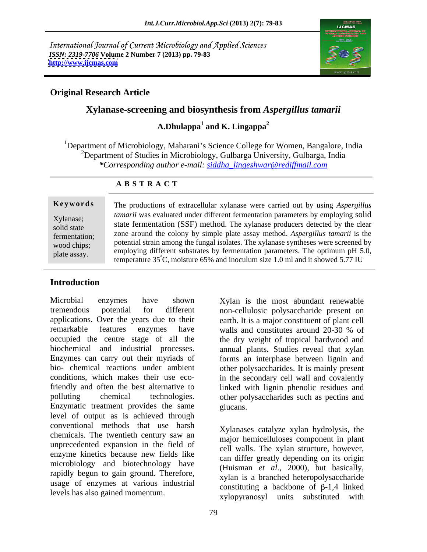International Journal of Current Microbiology and Applied Sciences *ISSN: 2319-7706* **Volume 2 Number 7 (2013) pp. 79-83 <http://www.ijcmas.com>**



## **Original Research Article**

# **Xylanase-screening and biosynthesis from** *Aspergillus tamarii*

# **A.Dhulappa<sup>1</sup> and K. Lingappa<sup>2</sup>**

<sup>1</sup>Department of Microbiology, Maharani's Science College for Women, Bangalore, India <sup>2</sup>Department of Studies in Microbiology, Gulbarga University, Gulbarga, India *\*Corresponding author e-mail: siddha\_lingeshwar@rediffmail.com*

### **A B S T R A C T**

**Ke ywo rds** The productions of extracellular xylanase were carried out by using *Aspergillus*  Xylanase;<br>Xylanase;<br> $\frac{1}{2}$   $\frac{1}{2}$   $\frac{1}{2}$   $\frac{1}{2}$   $\frac{1}{2}$   $\frac{1}{2}$   $\frac{1}{2}$   $\frac{1}{2}$   $\frac{1}{2}$   $\frac{1}{2}$   $\frac{1}{2}$   $\frac{1}{2}$   $\frac{1}{2}$ solid state state fermentation (SSF) method. The xylanase producers detected by the clear fermentation; zone around the colony by simple plate assay method. *Aspergillus tamarii* is the wood chips; potential strain among the fungal isolates. The xylanase syntheses were screened by employing different substrates by fermentation parameters. The optimum pH 5.0,  $\frac{1}{2}$  employing different substrates by fermentation parameters. The optimum pH 5.0, *tamarii* was evaluated under different fermentation parameters by employing solid potential strain among the fungal isolates. The xylanase syntheses were screened by temperature 35°C, moisture 65% and inoculum size 1.0 ml and it showed 5.77 IU

# **Introduction**

Microbial enzymes have shown Xylan is the most abundant renewable tremendous potential for different non-cellulosic polysaccharide present on applications. Over the years due to their earth. It is a major constituent of plant cell remarkable features enzymes have walls and constitutes around 20-30 % of occupied the centre stage of all the the dry weight of tropical hardwood and biochemical and industrial processes. annual plants. Studies reveal that xylan Enzymes can carry out their myriads of forms an interphase between lignin and bio- chemical reactions under ambient other polysaccharides. It is mainly present conditions, which makes their use eco-in the secondary cell wall and covalently friendly and often the best alternative to linked with lignin phenolic residues and polluting chemical technologies. other polysaccharides such as pectins and Enzymatic treatment provides the same level of output as is achieved through conventional methods that use harsh chemicals. The twentieth century saw an unprecedented expansion in the field of enzyme kinetics because new fields like microbiology and biotechnology have rapidly begun to gain ground. Therefore, usage of enzymes at various industrial levels has also gained momentum.

walls and constitutes around 20-30 % of glucans. The contract of the contract of the contract of the contract of the contract of the contract of the contract of the contract of the contract of the contract of the contract of the contract of the contract of the c

Xylanases catalyze xylan hydrolysis, the major hemicelluloses component in plant cell walls. The xylan structure, however, can differ greatly depending on its origin (Huisman *et al*., 2000), but basically, xylan is a branched heteropolysaccharide constituting a backbone of  $\beta$ -1,4 linked xylopyranosyl units substituted with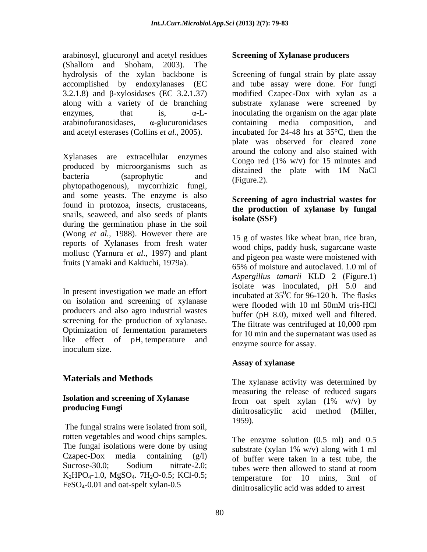arabinosyl, glucuronyl and acetyl residues (Shallom and Shoham, 2003). The hydrolysis of the xylan backbone is accomplished by endoxylanases (EC  $arabin of transidases$ ,  $\alpha$ -glucuronidases containing media composition, and and acetyl esterases (Collins *et al.,* 2005).

 $X$ ylanases are extracellular enzymes Congo red  $(1\% w/v)$  for 15 minutes and produced by microorganisms such as distained the plate with 1M NaCl phytopathogenous), mycorrhizic fungi, and some yeasts. The enzyme is also found in protozoa, insects, crustaceans, snails, seaweed, and also seeds of plants during the germination phase in the soil (Wong *et al.,* 1988). However there are reports of Xylanases from fresh water mollusc (Yarnura *et al*., 1997) and plant

In present investigation we made an effort on isolation and screening of xylanase<br>were flooded with 10 ml 50mM tris-HCl producers and also agro industrial wastes screening for the production of xylanase. Optimization of fermentation parameters inoculum size.  $\qquad \qquad \text{and} \qquad \text{and} \qquad \text{and} \qquad \text{and} \qquad \text{and} \qquad \text{and} \qquad \text{and} \qquad \text{and} \qquad \text{and} \qquad \text{and} \qquad \text{and} \qquad \text{and} \qquad \text{and} \qquad \text{and} \qquad \text{and} \qquad \text{and} \qquad \text{and} \qquad \text{and} \qquad \text{and} \qquad \text{and} \qquad \text{and} \qquad \text{and} \qquad \text{and} \qquad \text{and} \qquad \text{and} \qquad$ 

The fungal strains were isolated from soil, 1959). rotten vegetables and wood chips samples. The fungal isolations were done by using  $\frac{1}{100}$  substrate (xylan 1% w/v) along with 1 ml Czapec-Dox media containing (g/l) Sucrose-30.0; Sodium nitrate-2.0; tubes were then allowed to stand at room  $K_2HPO_4-1.0$ ,  $MgSO_4$ . 7H<sub>2</sub>O-0.5; KCl-0.5; temperature for 10 mins. 3ml of FeSO4-0.01 and oat-spelt xylan-0.5

### **Screening of Xylanase producers**

 $3.2.1.8$ ) and  $\beta$ -xylosidases (EC  $3.2.1.37$ ) modified Czapec-Dox with xylan as a along with a variety of de branching substrate xylanase were screened by enzymes, that is,  $\alpha$ -L- inoculating the organism on the agar plate bacteria (saprophytic and  $\frac{d}{d}$   $\frac{d}{d}$   $\frac{d}{d}$   $\frac{d}{d}$   $\frac{d}{d}$   $\frac{d}{d}$   $\frac{d}{d}$   $\frac{d}{d}$   $\frac{d}{d}$   $\frac{d}{d}$   $\frac{d}{d}$   $\frac{d}{d}$   $\frac{d}{d}$   $\frac{d}{d}$   $\frac{d}{d}$   $\frac{d}{d}$   $\frac{d}{d}$   $\frac{d}{d}$   $\frac{d}{d}$   $\frac{d$ Screening of fungal strain by plate assay and tube assay were done. For fungi containing media composition, and incubated for 24-48 hrs at 35°C, then the plate was observed for cleared zone around the colony and also stained with Congo red (1% w/v) for 15 minutes and distained the plate with 1M NaCl (Figure.2).

## **Screening of agro industrial wastes for the production of xylanase by fungal isolate (SSF)**

fruits (Yamaki and Kakiuchi, 1979a).<br>65% of moisture and autoclaved 1.0 ml of like effect of pH, temperature and provide source for assay 15 g of wastes like wheat bran, rice bran, wood chips, paddy husk, sugarcane waste and pigeon pea waste were moistened with 65% of moisture and autoclaved. 1.0 ml of *Aspergillus tamarii* KLD 2 (Figure.1) isolate was inoculated, pH 5.0 and incubated at  $35^{\circ}$ C for 96-120 h. The flasks were flooded with 10 ml 50mM tris-HCl buffer (pH 8.0), mixed well and filtered. The filtrate was centrifuged at 10,000 rpm for 10 min and the supernatant was used as enzyme source for assay.

## **Assay of xylanase**

**Materials and Methods** The xylanase activity was determined by **Isolation and screening of Xylanase example 10** and series and **Street and Screening of Xylanase example 10** and **series or and <b>screening** of **Xylanase example 10** and **series or and n s or or or or producing Fungi** dinitrosalicylic acid method (Miller, measuring the release of reduced sugars from oat spelt xylan (1% w/v) by 1959).

Sucrose-30.0; Sodium nitrate-2.0;  $\frac{1}{2}$  typing were then allowed to stand at room The enzyme solution (0.5 ml) and 0.5 substrate (xylan 1% w/v) along with 1 ml of buffer were taken in a test tube, the tubes were then allowed to stand at room  $temperature$  for 10 mins, dinitrosalicylic acid was added to arrest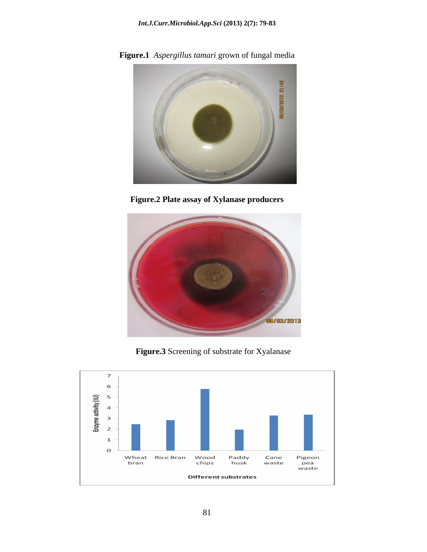**Figure.1** *Aspergillus tamari* grown of fungal media



**Figure.2 Plate assay of Xylanase producers**



**Figure.3** Screening of substrate for Xyalanase

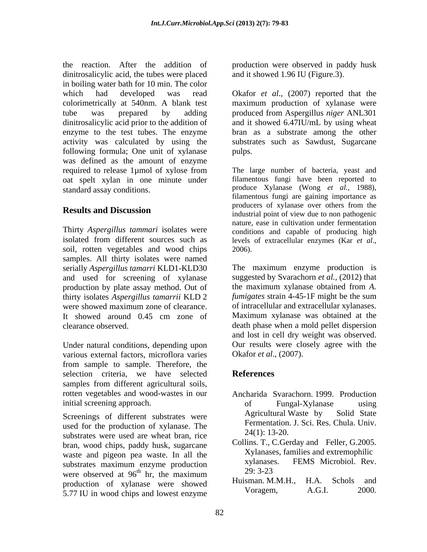the reaction. After the addition of production were observed in paddy husk dinitrosalicylic acid, the tubes were placed and it showed 1.96 IU (Figure.3). in boiling water bath for 10 min. The color which had developed was read Okafor et al., (2007) reported that the colorimetrically at 540nm. A blank test maximum production of xylanase were tube was prepared by adding produced from Aspergillus *niger* ANL301 dinitrosalicylic acid prior to the addition of and it showed 6.47IU/mL by using wheat enzyme to the test tubes. The enzyme bran as a substrate among the other activity was calculated by using the substrates such as Sawdust, Sugarcane following formula; One unit of xylanase pulps. was defined as the amount of enzyme required to release 1µmol of xylose from The large number of bacteria, yeast and oat spelt xylan in one minute under standard assay conditions. produce Xylanase (Wong *et al.,* 1988),

Thirty *Aspergillus tammari* isolates were isolated from different sources such as levels of extracellular enzymes (Kar et al., soil, rotten vegetables and wood chips 2006). samples. All thirty isolates were named serially *Aspergillus tamarri* KLD1-KLD30 and used for screening of xylanase production by plate assay method. Out of thirty isolates *Aspergillus tamarrii* KLD 2

Under natural conditions, depending upon various external factors, microflora varies from sample to sample. Therefore, the selection criteria, we have selected **References** samples from different agricultural soils, rotten vegetables and wood-wastes in our initial screening approach. The of the state of the state of the state of the state of the state of the state of the state of the state of the state of the state of the state of the state of the state of the state of the s

used for the production of xylanase. The  $\frac{1}{24(1)}$ : 13-20. substrates were used are wheat bran, rice bran, wood chips, paddy husk, sugarcane waste and pigeon pea waste. In all the maximum and extreme and extreme whether we are well as a series with the substantial extreme and extreme and extreme and extreme and extreme and extreme and extreme and extreme and ex substrates maximum enzyme production<br>  $29.3-23$ were observed at  $96^{\text{th}}$  hr, the maximum  $29:3-23$ <br>maximum  $29:3-23$ <br>Huisman, M.M.H., H.A. Schols and production of xylanase were showed<br>5.77 II in wood chins and lowest enzyme<br>Noragem, A.G.I. 2000. 5.77 IU in wood chips and lowest enzyme

and it showed 1.96 IU (Figure.3). Okafor *et al*., (2007) reported that the pulps.

**Results and Discussion**<br>industrial point of view due to non pathogenic The large number of bacteria, yeast and filamentous fungi have been reported to filamentous fungi are gaining importance as producers of xylanase over others from the industrial point of view due to non pathogenic nature, ease in cultivation under fermentation conditions and capable of producing high levels of extracellular enzymes (Kar *et al*., 2006).

were showed maximum zone of clearance.  $\qquad \qquad$  of intracellular and extracellular xylanases. It showed around 0.45 cm zone of Maximum xylanase was obtained at the clearance observed. death phase when a mold pellet dispersion The maximum enzyme production is suggested by Svarachorn *et al.,* (2012) that the maximum xylanase obtained from *A. fumigates* strain 4-45-1F might be the sum of intracellular and extracellular xylanases. Maximum xylanase was obtained at the and lost in cell dry weight was observed. Our results were closely agree with the Okafor *et al*., (2007).

# **References**

- Screenings of different substrates were Agricultural Waste by Solid State Ancharida Svarachorn. 1999. Production of Fungal-Xylanase using Agricultural Waste by Solid State Fermentation. J. Sci. Res. Chula. Univ. 24(1): 13-20.
	- <sup>th</sup> hr, the maximum  $\frac{29:3-23}{1}$ Collins. T., C.Gerday and Feller, G.2005. Xylanases, families and extremophilic xylanases. FEMS Microbiol. Rev. 29: 3-23
		- Huisman. M.M.H., H.A. Schols and Voragem, A.G.I. 2000.